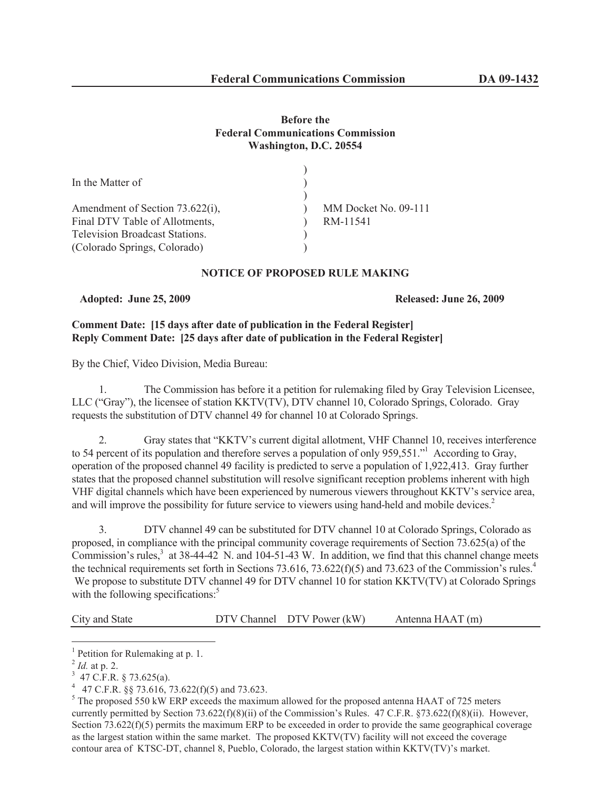# **Before the Federal Communications Commission Washington, D.C. 20554**

| In the Matter of                      |                      |
|---------------------------------------|----------------------|
|                                       |                      |
| Amendment of Section 73.622(i),       | MM Docket No. 09-111 |
| Final DTV Table of Allotments,        | RM-11541             |
| <b>Television Broadcast Stations.</b> |                      |
| (Colorado Springs, Colorado)          |                      |

## **NOTICE OF PROPOSED RULE MAKING**

**Adopted: June 25, 2009 Released: June 26, 2009**

# **Comment Date: [15 days after date of publication in the Federal Register] Reply Comment Date: [25 days after date of publication in the Federal Register]**

By the Chief, Video Division, Media Bureau:

1. The Commission has before it a petition for rulemaking filed by Gray Television Licensee, LLC ("Gray"), the licensee of station KKTV(TV), DTV channel 10, Colorado Springs, Colorado. Gray requests the substitution of DTV channel 49 for channel 10 at Colorado Springs.

2. Gray states that "KKTV's current digital allotment, VHF Channel 10, receives interference to 54 percent of its population and therefore serves a population of only 959,551."<sup>1</sup> According to Gray, operation of the proposed channel 49 facility is predicted to serve a population of 1,922,413. Gray further states that the proposed channel substitution will resolve significant reception problems inherent with high VHF digital channels which have been experienced by numerous viewers throughout KKTV's service area, and will improve the possibility for future service to viewers using hand-held and mobile devices.<sup>2</sup>

3. DTV channel 49 can be substituted for DTV channel 10 at Colorado Springs, Colorado as proposed, in compliance with the principal community coverage requirements of Section 73.625(a) of the Commission's rules, $3$  at 38-44-42 N. and 104-51-43 W. In addition, we find that this channel change meets the technical requirements set forth in Sections 73.616, 73.622(f)(5) and 73.623 of the Commission's rules.<sup>4</sup> We propose to substitute DTV channel 49 for DTV channel 10 for station KKTV(TV) at Colorado Springs with the following specifications:<sup>5</sup>

City and State DTV Channel DTV Power (kW) Antenna HAAT (m)

<sup>&</sup>lt;sup>1</sup> Petition for Rulemaking at p. 1.

<sup>2</sup> *Id.* at p. 2.

 $3\,$  47 C.F.R. § 73.625(a).

<sup>&</sup>lt;sup>4</sup> 47 C.F.R. §§ 73.616, 73.622(f)(5) and 73.623.

<sup>&</sup>lt;sup>5</sup> The proposed 550 kW ERP exceeds the maximum allowed for the proposed antenna HAAT of 725 meters currently permitted by Section 73.622(f)(8)(ii) of the Commission's Rules. 47 C.F.R. §73.622(f)(8)(ii). However, Section 73.622(f)(5) permits the maximum ERP to be exceeded in order to provide the same geographical coverage as the largest station within the same market. The proposed KKTV(TV) facility will not exceed the coverage contour area of KTSC-DT, channel 8, Pueblo, Colorado, the largest station within KKTV(TV)'s market.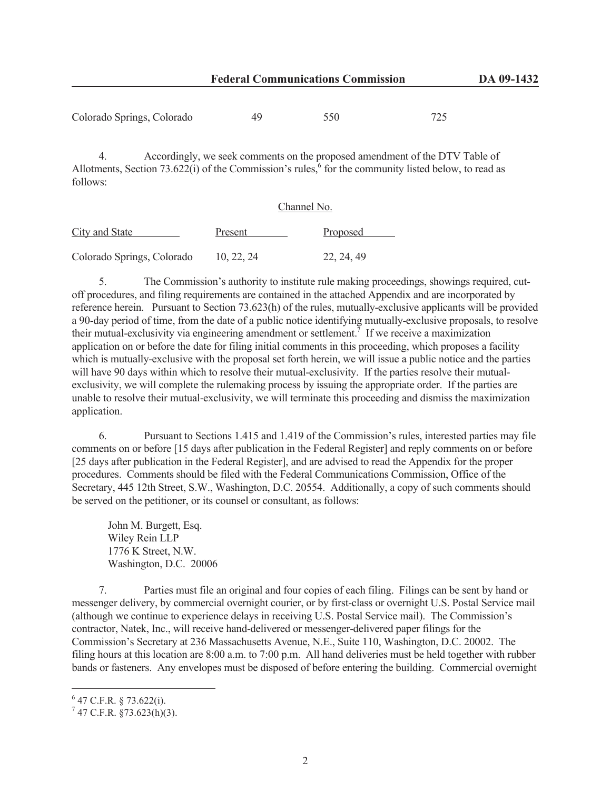| Colorado Springs, Colorado | 49 | 550 |  |
|----------------------------|----|-----|--|
|----------------------------|----|-----|--|

4. Accordingly, we seek comments on the proposed amendment of the DTV Table of Allotments, Section 73.622(i) of the Commission's rules,  $6 \text{ for the community listed below, to read as }$ follows:

#### Channel No.

| <b>City and State</b>      | Present    | Proposed   |
|----------------------------|------------|------------|
| Colorado Springs, Colorado | 10, 22, 24 | 22, 24, 49 |

5. The Commission's authority to institute rule making proceedings, showings required, cutoff procedures, and filing requirements are contained in the attached Appendix and are incorporated by reference herein. Pursuant to Section 73.623(h) of the rules, mutually-exclusive applicants will be provided a 90-day period of time, from the date of a public notice identifying mutually-exclusive proposals, to resolve their mutual-exclusivity via engineering amendment or settlement.<sup>7</sup> If we receive a maximization application on or before the date for filing initial comments in this proceeding, which proposes a facility which is mutually-exclusive with the proposal set forth herein, we will issue a public notice and the parties will have 90 days within which to resolve their mutual-exclusivity. If the parties resolve their mutualexclusivity, we will complete the rulemaking process by issuing the appropriate order. If the parties are unable to resolve their mutual-exclusivity, we will terminate this proceeding and dismiss the maximization application.

6. Pursuant to Sections 1.415 and 1.419 of the Commission's rules, interested parties may file comments on or before [15 days after publication in the Federal Register] and reply comments on or before [25 days after publication in the Federal Register], and are advised to read the Appendix for the proper procedures. Comments should be filed with the Federal Communications Commission, Office of the Secretary, 445 12th Street, S.W., Washington, D.C. 20554. Additionally, a copy of such comments should be served on the petitioner, or its counsel or consultant, as follows:

John M. Burgett, Esq. Wiley Rein LLP 1776 K Street, N.W. Washington, D.C. 20006

7. Parties must file an original and four copies of each filing. Filings can be sent by hand or messenger delivery, by commercial overnight courier, or by first-class or overnight U.S. Postal Service mail (although we continue to experience delays in receiving U.S. Postal Service mail). The Commission's contractor, Natek, Inc., will receive hand-delivered or messenger-delivered paper filings for the Commission's Secretary at 236 Massachusetts Avenue, N.E., Suite 110, Washington, D.C. 20002. The filing hours at this location are 8:00 a.m. to 7:00 p.m. All hand deliveries must be held together with rubber bands or fasteners. Any envelopes must be disposed of before entering the building. Commercial overnight

 $6$  47 C.F.R. § 73.622(i).

 $7$  47 C.F.R. §73.623(h)(3).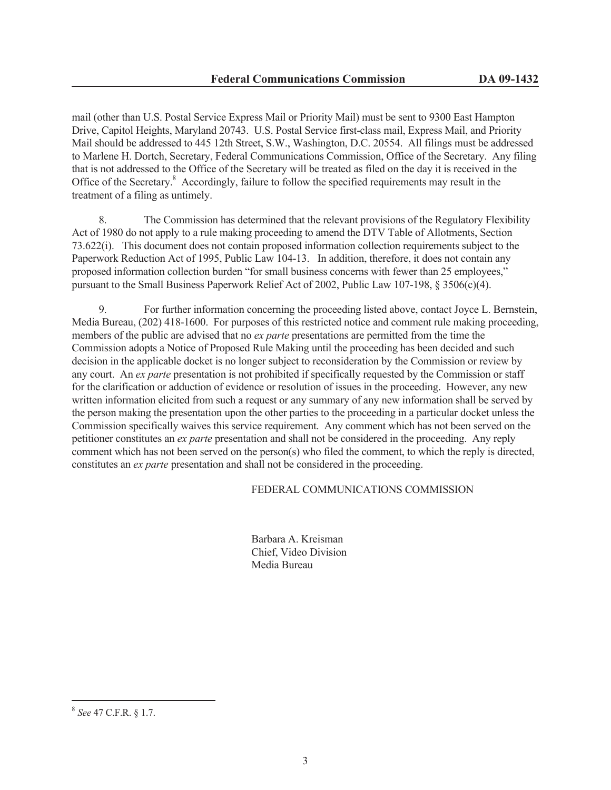mail (other than U.S. Postal Service Express Mail or Priority Mail) must be sent to 9300 East Hampton Drive, Capitol Heights, Maryland 20743. U.S. Postal Service first-class mail, Express Mail, and Priority Mail should be addressed to 445 12th Street, S.W., Washington, D.C. 20554. All filings must be addressed to Marlene H. Dortch, Secretary, Federal Communications Commission, Office of the Secretary. Any filing that is not addressed to the Office of the Secretary will be treated as filed on the day it is received in the Office of the Secretary.<sup>8</sup> Accordingly, failure to follow the specified requirements may result in the treatment of a filing as untimely.

8. The Commission has determined that the relevant provisions of the Regulatory Flexibility Act of 1980 do not apply to a rule making proceeding to amend the DTV Table of Allotments, Section 73.622(i). This document does not contain proposed information collection requirements subject to the Paperwork Reduction Act of 1995, Public Law 104-13. In addition, therefore, it does not contain any proposed information collection burden "for small business concerns with fewer than 25 employees," pursuant to the Small Business Paperwork Relief Act of 2002, Public Law 107-198, § 3506(c)(4).

9. For further information concerning the proceeding listed above, contact Joyce L. Bernstein, Media Bureau, (202) 418-1600. For purposes of this restricted notice and comment rule making proceeding, members of the public are advised that no *ex parte* presentations are permitted from the time the Commission adopts a Notice of Proposed Rule Making until the proceeding has been decided and such decision in the applicable docket is no longer subject to reconsideration by the Commission or review by any court. An *ex parte* presentation is not prohibited if specifically requested by the Commission or staff for the clarification or adduction of evidence or resolution of issues in the proceeding. However, any new written information elicited from such a request or any summary of any new information shall be served by the person making the presentation upon the other parties to the proceeding in a particular docket unless the Commission specifically waives this service requirement. Any comment which has not been served on the petitioner constitutes an *ex parte* presentation and shall not be considered in the proceeding. Any reply comment which has not been served on the person(s) who filed the comment, to which the reply is directed, constitutes an *ex parte* presentation and shall not be considered in the proceeding.

#### FEDERAL COMMUNICATIONS COMMISSION

Barbara A. Kreisman Chief, Video Division Media Bureau

<sup>8</sup> *See* 47 C.F.R. § 1.7.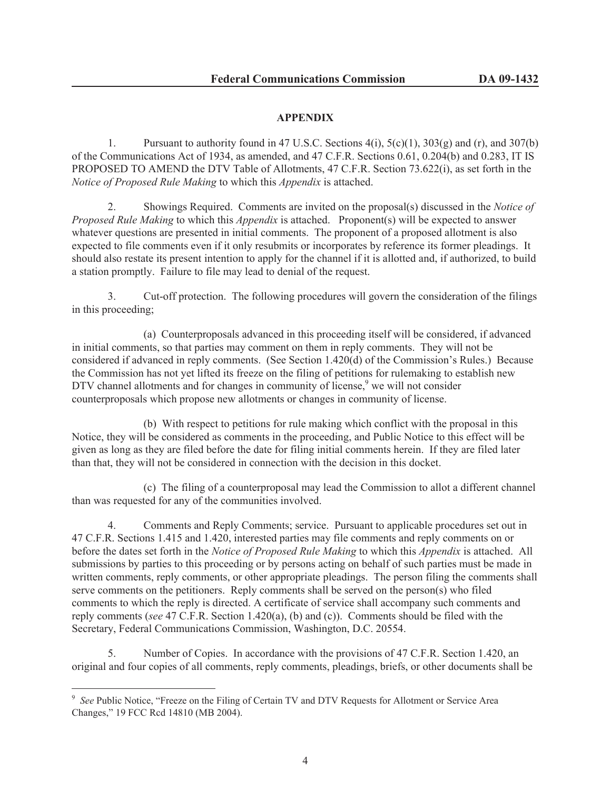# **APPENDIX**

1. Pursuant to authority found in 47 U.S.C. Sections  $4(i)$ ,  $5(c)(1)$ ,  $303(g)$  and  $(r)$ , and  $307(b)$ of the Communications Act of 1934, as amended, and 47 C.F.R. Sections 0.61, 0.204(b) and 0.283, IT IS PROPOSED TO AMEND the DTV Table of Allotments, 47 C.F.R. Section 73.622(i), as set forth in the *Notice of Proposed Rule Making* to which this *Appendix* is attached.

2. Showings Required. Comments are invited on the proposal(s) discussed in the *Notice of Proposed Rule Making* to which this *Appendix* is attached. Proponent(s) will be expected to answer whatever questions are presented in initial comments. The proponent of a proposed allotment is also expected to file comments even if it only resubmits or incorporates by reference its former pleadings. It should also restate its present intention to apply for the channel if it is allotted and, if authorized, to build a station promptly. Failure to file may lead to denial of the request.

3. Cut-off protection. The following procedures will govern the consideration of the filings in this proceeding;

(a) Counterproposals advanced in this proceeding itself will be considered, if advanced in initial comments, so that parties may comment on them in reply comments. They will not be considered if advanced in reply comments. (See Section 1.420(d) of the Commission's Rules.) Because the Commission has not yet lifted its freeze on the filing of petitions for rulemaking to establish new DTV channel allotments and for changes in community of license, $9$  we will not consider counterproposals which propose new allotments or changes in community of license.

(b) With respect to petitions for rule making which conflict with the proposal in this Notice, they will be considered as comments in the proceeding, and Public Notice to this effect will be given as long as they are filed before the date for filing initial comments herein. If they are filed later than that, they will not be considered in connection with the decision in this docket.

(c) The filing of a counterproposal may lead the Commission to allot a different channel than was requested for any of the communities involved.

4. Comments and Reply Comments; service. Pursuant to applicable procedures set out in 47 C.F.R. Sections 1.415 and 1.420, interested parties may file comments and reply comments on or before the dates set forth in the *Notice of Proposed Rule Making* to which this *Appendix* is attached. All submissions by parties to this proceeding or by persons acting on behalf of such parties must be made in written comments, reply comments, or other appropriate pleadings. The person filing the comments shall serve comments on the petitioners. Reply comments shall be served on the person(s) who filed comments to which the reply is directed. A certificate of service shall accompany such comments and reply comments (*see* 47 C.F.R. Section 1.420(a), (b) and (c)). Comments should be filed with the Secretary, Federal Communications Commission, Washington, D.C. 20554.

5. Number of Copies. In accordance with the provisions of 47 C.F.R. Section 1.420, an original and four copies of all comments, reply comments, pleadings, briefs, or other documents shall be

<sup>&</sup>lt;sup>9</sup> See Public Notice, "Freeze on the Filing of Certain TV and DTV Requests for Allotment or Service Area Changes," 19 FCC Rcd 14810 (MB 2004).